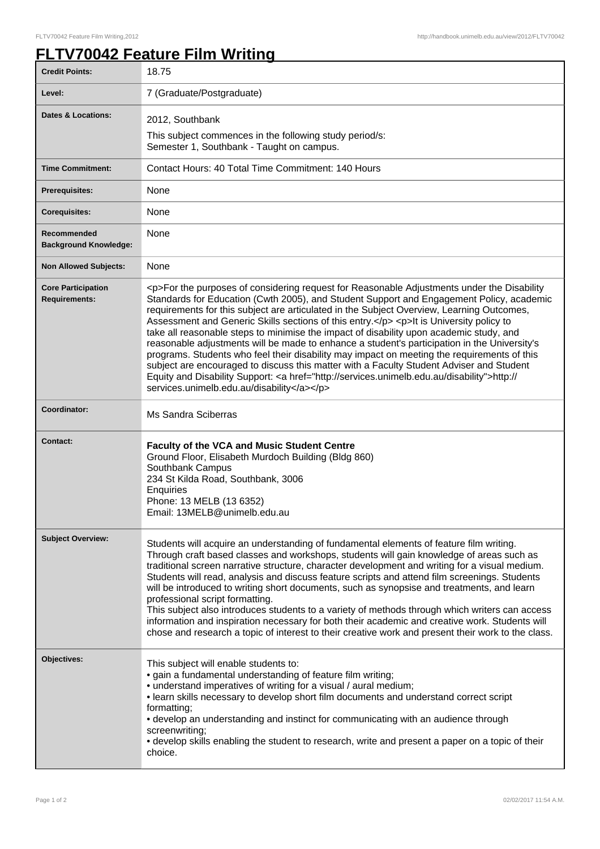## **FLTV70042 Feature Film Writing**

| <b>Credit Points:</b>                             | 18.75                                                                                                                                                                                                                                                                                                                                                                                                                                                                                                                                                                                                                                                                                                                                                                                                                                                                                                                     |
|---------------------------------------------------|---------------------------------------------------------------------------------------------------------------------------------------------------------------------------------------------------------------------------------------------------------------------------------------------------------------------------------------------------------------------------------------------------------------------------------------------------------------------------------------------------------------------------------------------------------------------------------------------------------------------------------------------------------------------------------------------------------------------------------------------------------------------------------------------------------------------------------------------------------------------------------------------------------------------------|
| Level:                                            | 7 (Graduate/Postgraduate)                                                                                                                                                                                                                                                                                                                                                                                                                                                                                                                                                                                                                                                                                                                                                                                                                                                                                                 |
| <b>Dates &amp; Locations:</b>                     | 2012, Southbank<br>This subject commences in the following study period/s:<br>Semester 1, Southbank - Taught on campus.                                                                                                                                                                                                                                                                                                                                                                                                                                                                                                                                                                                                                                                                                                                                                                                                   |
| <b>Time Commitment:</b>                           | Contact Hours: 40 Total Time Commitment: 140 Hours                                                                                                                                                                                                                                                                                                                                                                                                                                                                                                                                                                                                                                                                                                                                                                                                                                                                        |
| <b>Prerequisites:</b>                             | None                                                                                                                                                                                                                                                                                                                                                                                                                                                                                                                                                                                                                                                                                                                                                                                                                                                                                                                      |
| <b>Corequisites:</b>                              | None                                                                                                                                                                                                                                                                                                                                                                                                                                                                                                                                                                                                                                                                                                                                                                                                                                                                                                                      |
| Recommended<br><b>Background Knowledge:</b>       | None                                                                                                                                                                                                                                                                                                                                                                                                                                                                                                                                                                                                                                                                                                                                                                                                                                                                                                                      |
| <b>Non Allowed Subjects:</b>                      | None                                                                                                                                                                                                                                                                                                                                                                                                                                                                                                                                                                                                                                                                                                                                                                                                                                                                                                                      |
| <b>Core Participation</b><br><b>Requirements:</b> | <p>For the purposes of considering request for Reasonable Adjustments under the Disability<br/>Standards for Education (Cwth 2005), and Student Support and Engagement Policy, academic<br/>requirements for this subject are articulated in the Subject Overview, Learning Outcomes,<br/>Assessment and Generic Skills sections of this entry.</p> <p>lt is University policy to<br/>take all reasonable steps to minimise the impact of disability upon academic study, and<br/>reasonable adjustments will be made to enhance a student's participation in the University's<br/>programs. Students who feel their disability may impact on meeting the requirements of this<br/>subject are encouraged to discuss this matter with a Faculty Student Adviser and Student<br/>Equity and Disability Support: <a href="http://services.unimelb.edu.au/disability">http://<br/>services.unimelb.edu.au/disability</a></p> |
| Coordinator:                                      | Ms Sandra Sciberras                                                                                                                                                                                                                                                                                                                                                                                                                                                                                                                                                                                                                                                                                                                                                                                                                                                                                                       |
| <b>Contact:</b>                                   | <b>Faculty of the VCA and Music Student Centre</b><br>Ground Floor, Elisabeth Murdoch Building (Bldg 860)<br>Southbank Campus<br>234 St Kilda Road, Southbank, 3006<br>Enquiries<br>Phone: 13 MELB (13 6352)<br>Email: 13MELB@unimelb.edu.au                                                                                                                                                                                                                                                                                                                                                                                                                                                                                                                                                                                                                                                                              |
| <b>Subject Overview:</b>                          | Students will acquire an understanding of fundamental elements of feature film writing.<br>Through craft based classes and workshops, students will gain knowledge of areas such as<br>traditional screen narrative structure, character development and writing for a visual medium.<br>Students will read, analysis and discuss feature scripts and attend film screenings. Students<br>will be introduced to writing short documents, such as synopsise and treatments, and learn<br>professional script formatting.<br>This subject also introduces students to a variety of methods through which writers can access<br>information and inspiration necessary for both their academic and creative work. Students will<br>chose and research a topic of interest to their creative work and present their work to the class.                                                                                         |
| Objectives:                                       | This subject will enable students to:<br>· gain a fundamental understanding of feature film writing;<br>• understand imperatives of writing for a visual / aural medium;<br>. learn skills necessary to develop short film documents and understand correct script<br>formatting;<br>• develop an understanding and instinct for communicating with an audience through<br>screenwriting;<br>• develop skills enabling the student to research, write and present a paper on a topic of their<br>choice.                                                                                                                                                                                                                                                                                                                                                                                                                  |